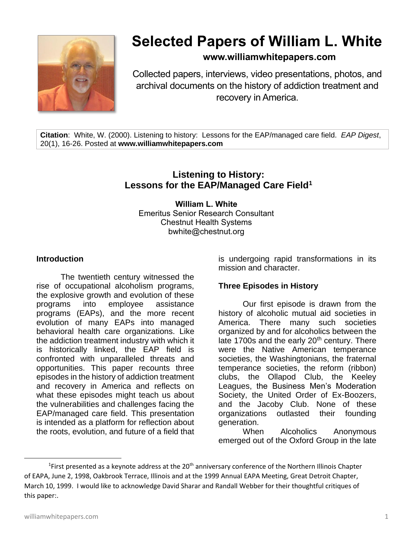

# **Selected Papers of William L. White**

## **www.williamwhitepapers.com**

Collected papers, interviews, video presentations, photos, and archival documents on the history of addiction treatment and recovery in America.

**Citation**: White, W. (2000). Listening to history: Lessons for the EAP/managed care field. *EAP Digest*, 20(1), 16-26. Posted at **www.williamwhitepapers.com**

## **Listening to History: Lessons for the EAP/Managed Care Field<sup>1</sup>**

**William L. White** Emeritus Senior Research Consultant Chestnut Health Systems bwhite@chestnut.org

#### **Introduction**

The twentieth century witnessed the rise of occupational alcoholism programs, the explosive growth and evolution of these programs into employee assistance programs (EAPs), and the more recent evolution of many EAPs into managed behavioral health care organizations. Like the addiction treatment industry with which it is historically linked, the EAP field is confronted with unparalleled threats and opportunities. This paper recounts three episodes in the history of addiction treatment and recovery in America and reflects on what these episodes might teach us about the vulnerabilities and challenges facing the EAP/managed care field. This presentation is intended as a platform for reflection about the roots, evolution, and future of a field that is undergoing rapid transformations in its mission and character.

## **Three Episodes in History**

Our first episode is drawn from the history of alcoholic mutual aid societies in America. There many such societies organized by and for alcoholics between the late 1700s and the early  $20<sup>th</sup>$  century. There were the Native American temperance societies, the Washingtonians, the fraternal temperance societies, the reform (ribbon) clubs, the Ollapod Club, the Keeley Leagues, the Business Men's Moderation Society, the United Order of Ex-Boozers, and the Jacoby Club. None of these organizations outlasted their founding generation.

When Alcoholics Anonymous emerged out of the Oxford Group in the late

<sup>&</sup>lt;sup>1</sup>First presented as a keynote address at the 20<sup>th</sup> anniversary conference of the Northern Illinois Chapter of EAPA, June 2, 1998, Oakbrook Terrace, Illinois and at the 1999 Annual EAPA Meeting, Great Detroit Chapter, March 10, 1999. I would like to acknowledge David Sharar and Randall Webber for their thoughtful critiques of this paper:.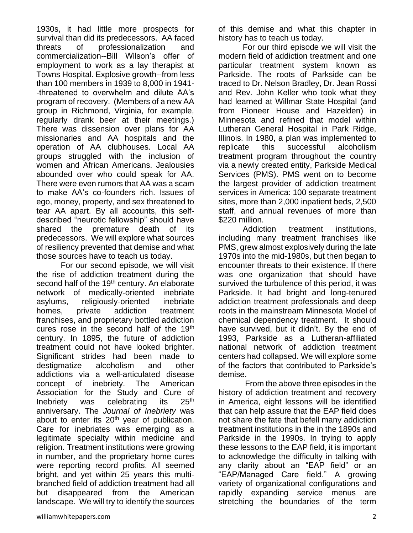1930s, it had little more prospects for survival than did its predecessors. AA faced threats of professionalization and commercialization--Bill Wilson's offer of employment to work as a lay therapist at Towns Hospital. Explosive growth--from less than 100 members in 1939 to 8,000 in 1941- -threatened to overwhelm and dilute AA's program of recovery. (Members of a new AA group in Richmond, Virginia, for example, regularly drank beer at their meetings.) There was dissension over plans for AA missionaries and AA hospitals and the operation of AA clubhouses. Local AA groups struggled with the inclusion of women and African Americans. Jealousies abounded over who could speak for AA. There were even rumors that AA was a scam to make AA's co-founders rich. Issues of ego, money, property, and sex threatened to tear AA apart. By all accounts, this selfdescribed "neurotic fellowship" should have shared the premature death of its predecessors. We will explore what sources of resiliency prevented that demise and what those sources have to teach us today.

For our second episode, we will visit the rise of addiction treatment during the second half of the 19<sup>th</sup> century. An elaborate network of medically-oriented inebriate asylums, religiously-oriented inebriate homes, private addiction treatment franchises, and proprietary bottled addiction cures rose in the second half of the 19th century. In 1895, the future of addiction treatment could not have looked brighter. Significant strides had been made to destigmatize alcoholism and other addictions via a well-articulated disease concept of inebriety. The American Association for the Study and Cure of Inebriety was celebrating its 25<sup>th</sup> anniversary. The *Journal of Inebriety* was about to enter its  $20<sup>th</sup>$  year of publication. Care for inebriates was emerging as a legitimate specialty within medicine and religion. Treatment institutions were growing in number, and the proprietary home cures were reporting record profits. All seemed bright, and yet within 25 years this multibranched field of addiction treatment had all but disappeared from the American landscape. We will try to identify the sources

of this demise and what this chapter in history has to teach us today.

For our third episode we will visit the modern field of addiction treatment and one particular treatment system known as Parkside. The roots of Parkside can be traced to Dr. Nelson Bradley, Dr. Jean Rossi and Rev. John Keller who took what they had learned at Willmar State Hospital (and from Pioneer House and Hazelden) in Minnesota and refined that model within Lutheran General Hospital in Park Ridge, Illinois. In 1980, a plan was implemented to replicate this successful alcoholism treatment program throughout the country via a newly created entity, Parkside Medical Services (PMS). PMS went on to become the largest provider of addiction treatment services in America: 100 separate treatment sites, more than 2,000 inpatient beds, 2,500 staff, and annual revenues of more than \$220 million.

Addiction treatment institutions, including many treatment franchises like PMS, grew almost explosively during the late 1970s into the mid-1980s, but then began to encounter threats to their existence. If there was one organization that should have survived the turbulence of this period, it was Parkside. It had bright and long-tenured addiction treatment professionals and deep roots in the mainstream Minnesota Model of chemical dependency treatment. It should have survived, but it didn't. By the end of 1993, Parkside as a Lutheran-affiliated national network of addiction treatment centers had collapsed. We will explore some of the factors that contributed to Parkside's demise.

From the above three episodes in the history of addiction treatment and recovery in America, eight lessons will be identified that can help assure that the EAP field does not share the fate that befell many addiction treatment institutions in the in the 1890s and Parkside in the 1990s. In trying to apply these lessons to the EAP field, it is important to acknowledge the difficulty in talking with any clarity about an "EAP field" or an "EAP/Managed Care field." A growing variety of organizational configurations and rapidly expanding service menus are stretching the boundaries of the term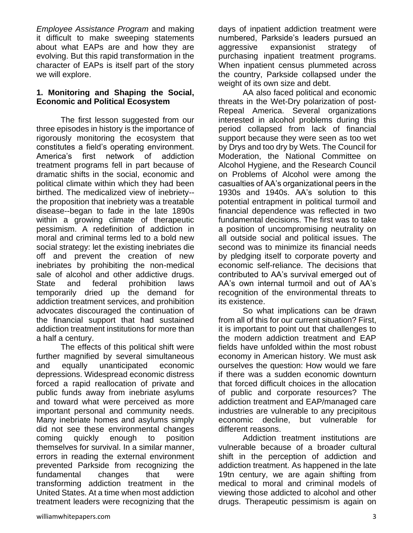*Employee Assistance Program* and making it difficult to make sweeping statements about what EAPs are and how they are evolving. But this rapid transformation in the character of EAPs is itself part of the story we will explore.

#### **1. Monitoring and Shaping the Social, Economic and Political Ecosystem**

The first lesson suggested from our three episodes in history is the importance of rigorously monitoring the ecosystem that constitutes a field's operating environment. America's first network of addiction treatment programs fell in part because of dramatic shifts in the social, economic and political climate within which they had been birthed. The medicalized view of inebriety- the proposition that inebriety was a treatable disease--began to fade in the late 1890s within a growing climate of therapeutic pessimism. A redefinition of addiction in moral and criminal terms led to a bold new social strategy: let the existing inebriates die off and prevent the creation of new inebriates by prohibiting the non-medical sale of alcohol and other addictive drugs. State and federal prohibition laws temporarily dried up the demand for addiction treatment services, and prohibition advocates discouraged the continuation of the financial support that had sustained addiction treatment institutions for more than a half a century.

The effects of this political shift were further magnified by several simultaneous and equally unanticipated economic depressions. Widespread economic distress forced a rapid reallocation of private and public funds away from inebriate asylums and toward what were perceived as more important personal and community needs. Many inebriate homes and asylums simply did not see these environmental changes coming quickly enough to position themselves for survival. In a similar manner, errors in reading the external environment prevented Parkside from recognizing the fundamental changes that were transforming addiction treatment in the United States. At a time when most addiction treatment leaders were recognizing that the

days of inpatient addiction treatment were numbered, Parkside's leaders pursued an aggressive expansionist strategy of purchasing inpatient treatment programs. When inpatient census plummeted across the country, Parkside collapsed under the weight of its own size and debt.

AA also faced political and economic threats in the Wet-Dry polarization of post-Repeal America. Several organizations interested in alcohol problems during this period collapsed from lack of financial support because they were seen as too wet by Drys and too dry by Wets. The Council for Moderation, the National Committee on Alcohol Hygiene, and the Research Council on Problems of Alcohol were among the casualties of AA's organizational peers in the 1930s and 1940s. AA's solution to this potential entrapment in political turmoil and financial dependence was reflected in two fundamental decisions. The first was to take a position of uncompromising neutrality on all outside social and political issues. The second was to minimize its financial needs by pledging itself to corporate poverty and economic self-reliance. The decisions that contributed to AA's survival emerged out of AA's own internal turmoil and out of AA's recognition of the environmental threats to its existence.

So what implications can be drawn from all of this for our current situation? First, it is important to point out that challenges to the modern addiction treatment and EAP fields have unfolded within the most robust economy in American history. We must ask ourselves the question: How would we fare if there was a sudden economic downturn that forced difficult choices in the allocation of public and corporate resources? The addiction treatment and EAP/managed care industries are vulnerable to any precipitous economic decline, but vulnerable for different reasons.

Addiction treatment institutions are vulnerable because of a broader cultural shift in the perception of addiction and addiction treatment. As happened in the late 19tn century, we are again shifting from medical to moral and criminal models of viewing those addicted to alcohol and other drugs. Therapeutic pessimism is again on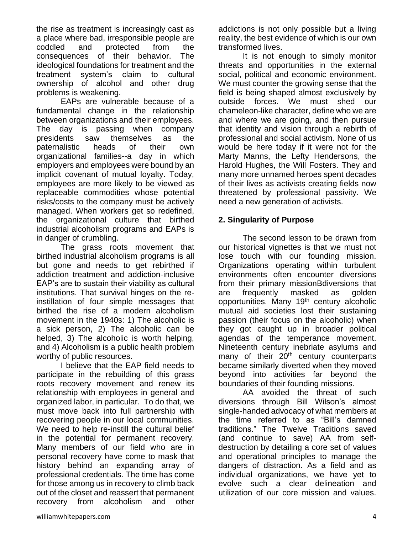the rise as treatment is increasingly cast as a place where bad, irresponsible people are coddled and protected from the consequences of their behavior. The ideological foundations for treatment and the treatment system's claim to cultural ownership of alcohol and other drug problems is weakening.

EAPs are vulnerable because of a fundamental change in the relationship between organizations and their employees. The day is passing when company presidents saw themselves as the paternalistic heads of their own organizational families--a day in which employers and employees were bound by an implicit covenant of mutual loyalty. Today, employees are more likely to be viewed as replaceable commodities whose potential risks/costs to the company must be actively managed. When workers get so redefined, the organizational culture that birthed industrial alcoholism programs and EAPs is in danger of crumbling.

The grass roots movement that birthed industrial alcoholism programs is all but gone and needs to get rebirthed if addiction treatment and addiction-inclusive EAP's are to sustain their viability as cultural institutions. That survival hinges on the reinstillation of four simple messages that birthed the rise of a modern alcoholism movement in the 1940s: 1) The alcoholic is a sick person, 2) The alcoholic can be helped, 3) The alcoholic is worth helping, and 4) Alcoholism is a public health problem worthy of public resources.

I believe that the EAP field needs to participate in the rebuilding of this grass roots recovery movement and renew its relationship with employees in general and organized labor, in particular. To do that, we must move back into full partnership with recovering people in our local communities. We need to help re-instill the cultural belief in the potential for permanent recovery. Many members of our field who are in personal recovery have come to mask that history behind an expanding array of professional credentials. The time has come for those among us in recovery to climb back out of the closet and reassert that permanent recovery from alcoholism and other

addictions is not only possible but a living reality, the best evidence of which is our own transformed lives.

It is not enough to simply monitor threats and opportunities in the external social, political and economic environment. We must counter the growing sense that the field is being shaped almost exclusively by outside forces. We must shed our chameleon-like character, define who we are and where we are going, and then pursue that identity and vision through a rebirth of professional and social activism. None of us would be here today if it were not for the Marty Manns, the Lefty Hendersons, the Harold Hughes, the Will Fosters. They and many more unnamed heroes spent decades of their lives as activists creating fields now threatened by professional passivity. We need a new generation of activists.

## **2. Singularity of Purpose**

The second lesson to be drawn from our historical vignettes is that we must not lose touch with our founding mission. Organizations operating within turbulent environments often encounter diversions from their primary missionBdiversions that are frequently masked as golden opportunities. Many 19<sup>th</sup> century alcoholic mutual aid societies lost their sustaining passion (their focus on the alcoholic) when they got caught up in broader political agendas of the temperance movement. Nineteenth century inebriate asylums and many of their  $20<sup>th</sup>$  century counterparts became similarly diverted when they moved beyond into activities far beyond the boundaries of their founding missions.

AA avoided the threat of such diversions through Bill Wilson's almost single-handed advocacy of what members at the time referred to as "Bill's damned traditions." The Twelve Traditions saved (and continue to save) AA from selfdestruction by detailing a core set of values and operational principles to manage the dangers of distraction. As a field and as individual organizations, we have yet to evolve such a clear delineation and utilization of our core mission and values.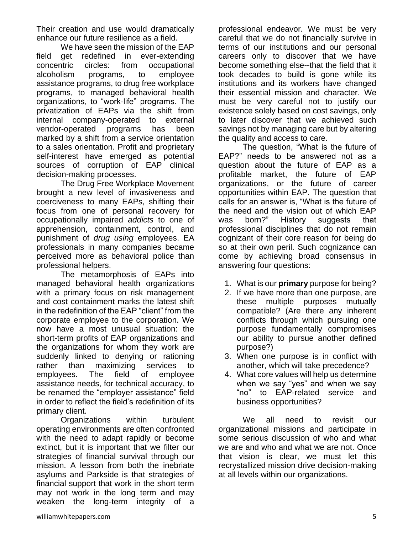Their creation and use would dramatically enhance our future resilience as a field.

We have seen the mission of the EAP field get redefined in ever-extending concentric circles: from occupational alcoholism programs, to employee assistance programs, to drug free workplace programs, to managed behavioral health organizations, to "work-life" programs. The privatization of EAPs via the shift from internal company-operated to external vendor-operated programs has been marked by a shift from a service orientation to a sales orientation. Profit and proprietary self-interest have emerged as potential sources of corruption of EAP clinical decision-making processes.

The Drug Free Workplace Movement brought a new level of invasiveness and coerciveness to many EAPs, shifting their focus from one of personal recovery for occupationally impaired *addicts* to one of apprehension, containment, control, and punishment of *drug using* employees. EA professionals in many companies became perceived more as behavioral police than professional helpers.

The metamorphosis of EAPs into managed behavioral health organizations with a primary focus on risk management and cost containment marks the latest shift in the redefinition of the EAP "client" from the corporate employee to the corporation. We now have a most unusual situation: the short-term profits of EAP organizations and the organizations for whom they work are suddenly linked to denying or rationing rather than maximizing services to employees. The field of employee assistance needs, for technical accuracy, to be renamed the "employer assistance" field in order to reflect the field's redefinition of its primary client.

Organizations within turbulent operating environments are often confronted with the need to adapt rapidly or become extinct, but it is important that we filter our strategies of financial survival through our mission. A lesson from both the inebriate asylums and Parkside is that strategies of financial support that work in the short term may not work in the long term and may weaken the long-term integrity of a professional endeavor. We must be very careful that we do not financially survive in terms of our institutions and our personal careers only to discover that we have become something else--that the field that it took decades to build is gone while its institutions and its workers have changed their essential mission and character. We must be very careful not to justify our existence solely based on cost savings, only to later discover that we achieved such savings not by managing care but by altering the quality and access to care.

The question, "What is the future of EAP?" needs to be answered not as a question about the future of EAP as a profitable market, the future of EAP organizations, or the future of career opportunities within EAP. The question that calls for an answer is, "What is the future of the need and the vision out of which EAP was born?" History suggests that professional disciplines that do not remain cognizant of their core reason for being do so at their own peril. Such cognizance can come by achieving broad consensus in answering four questions:

- 1. What is our **primary** purpose for being?
- 2. If we have more than one purpose, are these multiple purposes mutually compatible? (Are there any inherent conflicts through which pursuing one purpose fundamentally compromises our ability to pursue another defined purpose?)
- 3. When one purpose is in conflict with another, which will take precedence?
- 4. What core values will help us determine when we say "yes" and when we say "no" to EAP-related service and business opportunities?

We all need to revisit our organizational missions and participate in some serious discussion of who and what we are and who and what we are not. Once that vision is clear, we must let this recrystallized mission drive decision-making at all levels within our organizations.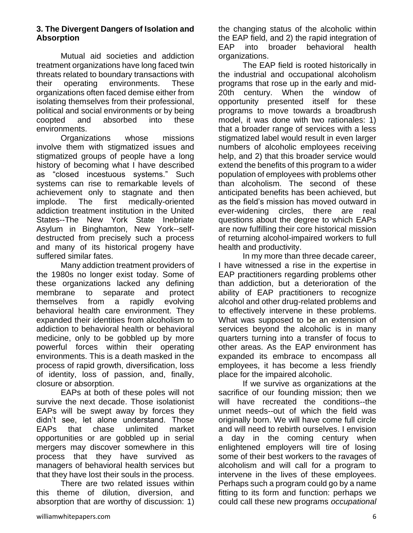#### **3. The Divergent Dangers of Isolation and Absorption**

Mutual aid societies and addiction treatment organizations have long faced twin threats related to boundary transactions with their operating environments. These organizations often faced demise either from isolating themselves from their professional, political and social environments or by being coopted and absorbed into these environments.

Organizations whose missions involve them with stigmatized issues and stigmatized groups of people have a long history of becoming what I have described as "closed incestuous systems." Such systems can rise to remarkable levels of achievement only to stagnate and then implode. The first medically-oriented addiction treatment institution in the United States--The New York State Inebriate Asylum in Binghamton, New York--selfdestructed from precisely such a process and many of its historical progeny have suffered similar fates.

Many addiction treatment providers of the 1980s no longer exist today. Some of these organizations lacked any defining membrane to separate and protect themselves from a rapidly evolving behavioral health care environment. They expanded their identities from alcoholism to addiction to behavioral health or behavioral medicine, only to be gobbled up by more powerful forces within their operating environments. This is a death masked in the process of rapid growth, diversification, loss of identity, loss of passion, and, finally, closure or absorption.

EAPs at both of these poles will not survive the next decade. Those isolationist EAPs will be swept away by forces they didn't see, let alone understand. Those EAPs that chase unlimited market opportunities or are gobbled up in serial mergers may discover somewhere in this process that they have survived as managers of behavioral health services but that they have lost their souls in the process.

There are two related issues within this theme of dilution, diversion, and absorption that are worthy of discussion: 1) the changing status of the alcoholic within the EAP field, and 2) the rapid integration of EAP into broader behavioral health organizations.

The EAP field is rooted historically in the industrial and occupational alcoholism programs that rose up in the early and mid-20th century. When the window of opportunity presented itself for these programs to move towards a broadbrush model, it was done with two rationales: 1) that a broader range of services with a less stigmatized label would result in even larger numbers of alcoholic employees receiving help, and 2) that this broader service would extend the benefits of this program to a wider population of employees with problems other than alcoholism. The second of these anticipated benefits has been achieved, but as the field's mission has moved outward in ever-widening circles, there are real questions about the degree to which EAPs are now fulfilling their core historical mission of returning alcohol-impaired workers to full health and productivity.

In my more than three decade career, I have witnessed a rise in the expertise in EAP practitioners regarding problems other than addiction, but a deterioration of the ability of EAP practitioners to recognize alcohol and other drug-related problems and to effectively intervene in these problems. What was supposed to be an extension of services beyond the alcoholic is in many quarters turning into a transfer of focus to other areas. As the EAP environment has expanded its embrace to encompass all employees, it has become a less friendly place for the impaired alcoholic.

If we survive as organizations at the sacrifice of our founding mission; then we will have recreated the conditions--the unmet needs--out of which the field was originally born. We will have come full circle and will need to rebirth ourselves. I envision a day in the coming century when enlightened employers will tire of losing some of their best workers to the ravages of alcoholism and will call for a program to intervene in the lives of these employees. Perhaps such a program could go by a name fitting to its form and function: perhaps we could call these new programs *occupational*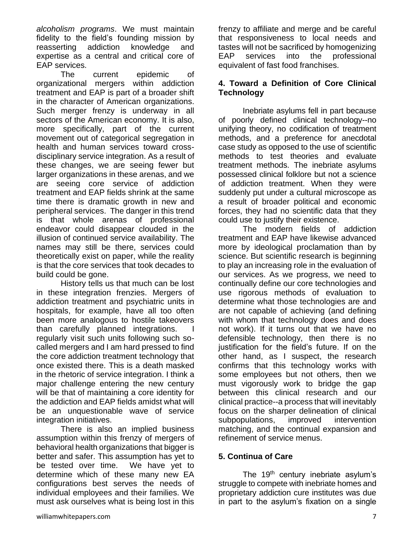*alcoholism programs*. We must maintain fidelity to the field's founding mission by reasserting addiction knowledge and expertise as a central and critical core of EAP services.

The current epidemic of organizational mergers within addiction treatment and EAP is part of a broader shift in the character of American organizations. Such merger frenzy is underway in all sectors of the American economy. It is also, more specifically, part of the current movement out of categorical segregation in health and human services toward crossdisciplinary service integration. As a result of these changes, we are seeing fewer but larger organizations in these arenas, and we are seeing core service of addiction treatment and EAP fields shrink at the same time there is dramatic growth in new and peripheral services. The danger in this trend is that whole arenas of professional endeavor could disappear clouded in the illusion of continued service availability. The names may still be there, services could theoretically exist on paper, while the reality is that the core services that took decades to build could be gone.

History tells us that much can be lost in these integration frenzies. Mergers of addiction treatment and psychiatric units in hospitals, for example, have all too often been more analogous to hostile takeovers than carefully planned integrations. regularly visit such units following such socalled mergers and I am hard pressed to find the core addiction treatment technology that once existed there. This is a death masked in the rhetoric of service integration. I think a major challenge entering the new century will be that of maintaining a core identity for the addiction and EAP fields amidst what will be an unquestionable wave of service integration initiatives.

There is also an implied business assumption within this frenzy of mergers of behavioral health organizations that bigger is better and safer. This assumption has yet to be tested over time. We have yet to determine which of these many new EA configurations best serves the needs of individual employees and their families. We must ask ourselves what is being lost in this

frenzy to affiliate and merge and be careful that responsiveness to local needs and tastes will not be sacrificed by homogenizing EAP services into the professional equivalent of fast food franchises.

#### **4. Toward a Definition of Core Clinical Technology**

Inebriate asylums fell in part because of poorly defined clinical technology--no unifying theory, no codification of treatment methods, and a preference for anecdotal case study as opposed to the use of scientific methods to test theories and evaluate treatment methods. The inebriate asylums possessed clinical folklore but not a science of addiction treatment. When they were suddenly put under a cultural microscope as a result of broader political and economic forces, they had no scientific data that they could use to justify their existence.

The modern fields of addiction treatment and EAP have likewise advanced more by ideological proclamation than by science. But scientific research is beginning to play an increasing role in the evaluation of our services. As we progress, we need to continually define our core technologies and use rigorous methods of evaluation to determine what those technologies are and are not capable of achieving (and defining with whom that technology does and does not work). If it turns out that we have no defensible technology, then there is no justification for the field's future. If on the other hand, as I suspect, the research confirms that this technology works with some employees but not others, then we must vigorously work to bridge the gap between this clinical research and our clinical practice--a process that will inevitably focus on the sharper delineation of clinical subpopulations, improved intervention matching, and the continual expansion and refinement of service menus.

## **5. Continua of Care**

The 19<sup>th</sup> century inebriate asylum's struggle to compete with inebriate homes and proprietary addiction cure institutes was due in part to the asylum's fixation on a single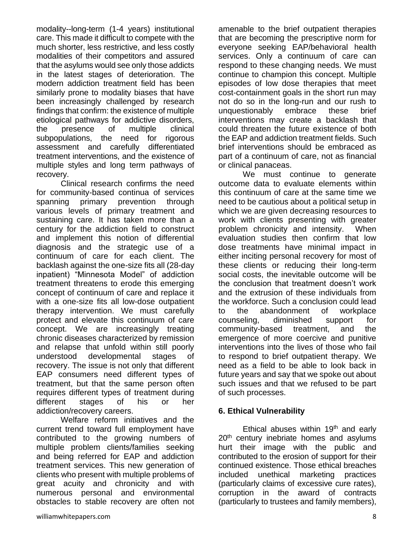modality--long-term (1-4 years) institutional care. This made it difficult to compete with the much shorter, less restrictive, and less costly modalities of their competitors and assured that the asylums would see only those addicts in the latest stages of deterioration. The modern addiction treatment field has been similarly prone to modality biases that have been increasingly challenged by research findings that confirm: the existence of multiple etiological pathways for addictive disorders, the presence of multiple clinical subpopulations, the need for rigorous assessment and carefully differentiated treatment interventions, and the existence of multiple styles and long term pathways of recovery.

Clinical research confirms the need for community-based continua of services spanning primary prevention through various levels of primary treatment and sustaining care. It has taken more than a century for the addiction field to construct and implement this notion of differential diagnosis and the strategic use of a continuum of care for each client. The backlash against the one-size fits all (28-day inpatient) "Minnesota Model" of addiction treatment threatens to erode this emerging concept of continuum of care and replace it with a one-size fits all low-dose outpatient therapy intervention. We must carefully protect and elevate this continuum of care concept. We are increasingly treating chronic diseases characterized by remission and relapse that unfold within still poorly understood developmental stages of recovery. The issue is not only that different EAP consumers need different types of treatment, but that the same person often requires different types of treatment during different stages of his or her addiction/recovery careers.

Welfare reform initiatives and the current trend toward full employment have contributed to the growing numbers of multiple problem clients/families seeking and being referred for EAP and addiction treatment services. This new generation of clients who present with multiple problems of great acuity and chronicity and with numerous personal and environmental obstacles to stable recovery are often not

amenable to the brief outpatient therapies that are becoming the prescriptive norm for everyone seeking EAP/behavioral health services. Only a continuum of care can respond to these changing needs. We must continue to champion this concept. Multiple episodes of low dose therapies that meet cost-containment goals in the short run may not do so in the long-run and our rush to unquestionably embrace these brief interventions may create a backlash that could threaten the future existence of both the EAP and addiction treatment fields. Such brief interventions should be embraced as part of a continuum of care, not as financial or clinical panaceas.

We must continue to generate outcome data to evaluate elements within this continuum of care at the same time we need to be cautious about a political setup in which we are given decreasing resources to work with clients presenting with greater problem chronicity and intensity. When evaluation studies then confirm that low dose treatments have minimal impact in either inciting personal recovery for most of these clients or reducing their long-term social costs, the inevitable outcome will be the conclusion that treatment doesn't work and the extrusion of these individuals from the workforce. Such a conclusion could lead to the abandonment of workplace counseling, diminished support for community-based treatment, and the emergence of more coercive and punitive interventions into the lives of those who fail to respond to brief outpatient therapy. We need as a field to be able to look back in future years and say that we spoke out about such issues and that we refused to be part of such processes.

## **6. Ethical Vulnerability**

Ethical abuses within  $19<sup>th</sup>$  and early 20<sup>th</sup> century inebriate homes and asylums hurt their image with the public and contributed to the erosion of support for their continued existence. Those ethical breaches included unethical marketing practices (particularly claims of excessive cure rates), corruption in the award of contracts (particularly to trustees and family members),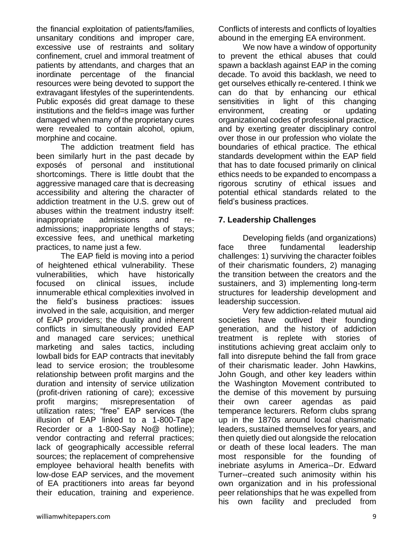the financial exploitation of patients/families, unsanitary conditions and improper care, excessive use of restraints and solitary confinement, cruel and immoral treatment of patients by attendants, and charges that an inordinate percentage of the financial resources were being devoted to support the extravagant lifestyles of the superintendents. Public exposés did great damage to these institutions and the field=s image was further damaged when many of the proprietary cures were revealed to contain alcohol, opium, morphine and cocaine.

The addiction treatment field has been similarly hurt in the past decade by exposés of personal and institutional shortcomings. There is little doubt that the aggressive managed care that is decreasing accessibility and altering the character of addiction treatment in the U.S. grew out of abuses within the treatment industry itself: inappropriate admissions and readmissions; inappropriate lengths of stays; excessive fees, and unethical marketing practices, to name just a few.

The EAP field is moving into a period of heightened ethical vulnerability. These vulnerabilities, which have historically focused on clinical issues, include innumerable ethical complexities involved in the field's business practices: issues involved in the sale, acquisition, and merger of EAP providers; the duality and inherent conflicts in simultaneously provided EAP and managed care services; unethical marketing and sales tactics, including lowball bids for EAP contracts that inevitably lead to service erosion; the troublesome relationship between profit margins and the duration and intensity of service utilization (profit-driven rationing of care); excessive profit margins; misrepresentation of utilization rates; "free" EAP services (the illusion of EAP linked to a 1-800-Tape Recorder or a 1-800-Say No@ hotline); vendor contracting and referral practices; lack of geographically accessible referral sources; the replacement of comprehensive employee behavioral health benefits with low-dose EAP services, and the movement of EA practitioners into areas far beyond their education, training and experience.

Conflicts of interests and conflicts of loyalties abound in the emerging EA environment.

We now have a window of opportunity to prevent the ethical abuses that could spawn a backlash against EAP in the coming decade. To avoid this backlash, we need to get ourselves ethically re-centered. I think we can do that by enhancing our ethical sensitivities in light of this changing environment, creating or updating organizational codes of professional practice, and by exerting greater disciplinary control over those in our profession who violate the boundaries of ethical practice. The ethical standards development within the EAP field that has to date focused primarily on clinical ethics needs to be expanded to encompass a rigorous scrutiny of ethical issues and potential ethical standards related to the field's business practices.

## **7. Leadership Challenges**

Developing fields (and organizations) face three fundamental leadership challenges: 1) surviving the character foibles of their charismatic founders, 2) managing the transition between the creators and the sustainers, and 3) implementing long-term structures for leadership development and leadership succession.

Very few addiction-related mutual aid societies have outlived their founding generation, and the history of addiction treatment is replete with stories of institutions achieving great acclaim only to fall into disrepute behind the fall from grace of their charismatic leader. John Hawkins, John Gough, and other key leaders within the Washington Movement contributed to the demise of this movement by pursuing their own career agendas as paid temperance lecturers. Reform clubs sprang up in the 1870s around local charismatic leaders, sustained themselves for years, and then quietly died out alongside the relocation or death of these local leaders. The man most responsible for the founding of inebriate asylums in America--Dr. Edward Turner--created such animosity within his own organization and in his professional peer relationships that he was expelled from his own facility and precluded from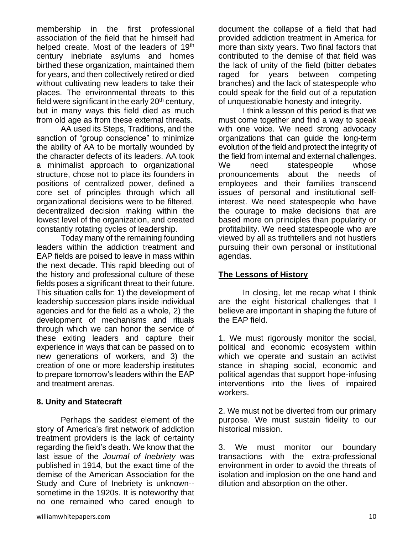membership in the first professional association of the field that he himself had helped create. Most of the leaders of 19<sup>th</sup> century inebriate asylums and homes birthed these organization, maintained them for years, and then collectively retired or died without cultivating new leaders to take their places. The environmental threats to this field were significant in the early  $20<sup>th</sup>$  century, but in many ways this field died as much from old age as from these external threats.

AA used its Steps, Traditions, and the sanction of "group conscience" to minimize the ability of AA to be mortally wounded by the character defects of its leaders. AA took a minimalist approach to organizational structure, chose not to place its founders in positions of centralized power, defined a core set of principles through which all organizational decisions were to be filtered, decentralized decision making within the lowest level of the organization, and created constantly rotating cycles of leadership.

Today many of the remaining founding leaders within the addiction treatment and EAP fields are poised to leave in mass within the next decade. This rapid bleeding out of the history and professional culture of these fields poses a significant threat to their future. This situation calls for: 1) the development of leadership succession plans inside individual agencies and for the field as a whole, 2) the development of mechanisms and rituals through which we can honor the service of these exiting leaders and capture their experience in ways that can be passed on to new generations of workers, and 3) the creation of one or more leadership institutes to prepare tomorrow's leaders within the EAP and treatment arenas.

#### **8. Unity and Statecraft**

Perhaps the saddest element of the story of America's first network of addiction treatment providers is the lack of certainty regarding the field's death. We know that the last issue of the *Journal of Inebriety* was published in 1914, but the exact time of the demise of the American Association for the Study and Cure of Inebriety is unknown- sometime in the 1920s. It is noteworthy that no one remained who cared enough to

document the collapse of a field that had provided addiction treatment in America for more than sixty years. Two final factors that contributed to the demise of that field was the lack of unity of the field (bitter debates raged for years between competing branches) and the lack of statespeople who could speak for the field out of a reputation of unquestionable honesty and integrity.

I think a lesson of this period is that we must come together and find a way to speak with one voice. We need strong advocacy organizations that can guide the long-term evolution of the field and protect the integrity of the field from internal and external challenges. We need statespeople whose pronouncements about the needs of employees and their families transcend issues of personal and institutional selfinterest. We need statespeople who have the courage to make decisions that are based more on principles than popularity or profitability. We need statespeople who are viewed by all as truthtellers and not hustlers pursuing their own personal or institutional agendas.

## **The Lessons of History**

In closing, let me recap what I think are the eight historical challenges that I believe are important in shaping the future of the EAP field.

1. We must rigorously monitor the social, political and economic ecosystem within which we operate and sustain an activist stance in shaping social, economic and political agendas that support hope-infusing interventions into the lives of impaired workers.

2. We must not be diverted from our primary purpose. We must sustain fidelity to our historical mission.

3. We must monitor our boundary transactions with the extra-professional environment in order to avoid the threats of isolation and implosion on the one hand and dilution and absorption on the other.